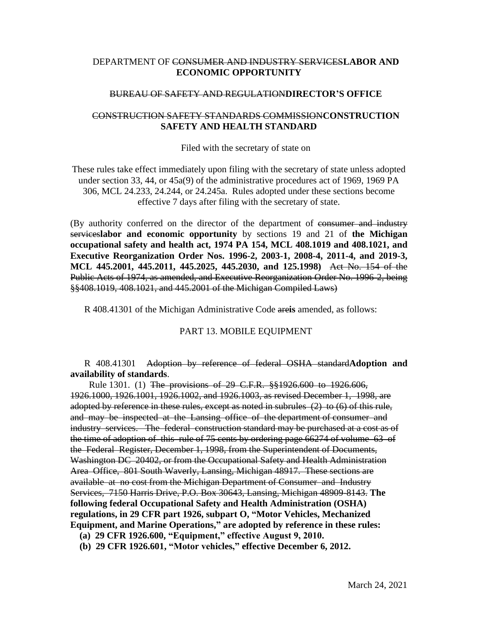## DEPARTMENT OF CONSUMER AND INDUSTRY SERVICES**LABOR AND ECONOMIC OPPORTUNITY**

## BUREAU OF SAFETY AND REGULATION**DIRECTOR'S OFFICE**

## CONSTRUCTION SAFETY STANDARDS COMMISSION**CONSTRUCTION SAFETY AND HEALTH STANDARD**

Filed with the secretary of state on

These rules take effect immediately upon filing with the secretary of state unless adopted under section 33, 44, or 45a(9) of the administrative procedures act of 1969, 1969 PA 306, MCL 24.233, 24.244, or 24.245a. Rules adopted under these sections become effective 7 days after filing with the secretary of state.

(By authority conferred on the director of the department of consumer and industry services**labor and economic opportunity** by sections 19 and 21 of **the Michigan occupational safety and health act, 1974 PA 154, MCL 408.1019 and 408.1021, and Executive Reorganization Order Nos. 1996-2, 2003-1, 2008-4, 2011-4, and 2019-3, MCL 445.2001, 445.2011, 445.2025, 445.2030, and 125.1998)** Act No. 154 of the Public Acts of 1974, as amended, and Executive Reorganization Order No. 1996-2, being §§408.1019, 408.1021, and 445.2001 of the Michigan Compiled Laws)

R 408.41301 of the Michigan Administrative Code are**is** amended, as follows:

## PART 13. MOBILE EQUIPMENT

R 408.41301 Adoption by reference of federal OSHA standard**Adoption and availability of standards**.

 Rule 1301. (1) The provisions of 29 C.F.R. §§1926.600 to 1926.606, 1926.1000, 1926.1001, 1926.1002, and 1926.1003, as revised December 1, 1998, are adopted by reference in these rules, except as noted in subrules (2) to (6) of this rule, and may be inspected at the Lansing office of the department of consumer and industry services. The federal construction standard may be purchased at a cost as of the time of adoption of this rule of 75 cents by ordering page 66274 of volume 63 of the Federal Register, December 1, 1998, from the Superintendent of Documents, Washington DC 20402, or from the Occupational Safety and Health Administration Area Office, 801 South Waverly, Lansing, Michigan 48917. These sections are available at no cost from the Michigan Department of Consumer and Industry Services, 7150 Harris Drive, P.O. Box 30643, Lansing, Michigan 48909-8143. **The following federal Occupational Safety and Health Administration (OSHA) regulations, in 29 CFR part 1926, subpart O, "Motor Vehicles, Mechanized Equipment, and Marine Operations," are adopted by reference in these rules: (a) 29 CFR 1926.600, "Equipment," effective August 9, 2010.**

 **(b) 29 CFR 1926.601, "Motor vehicles," effective December 6, 2012.**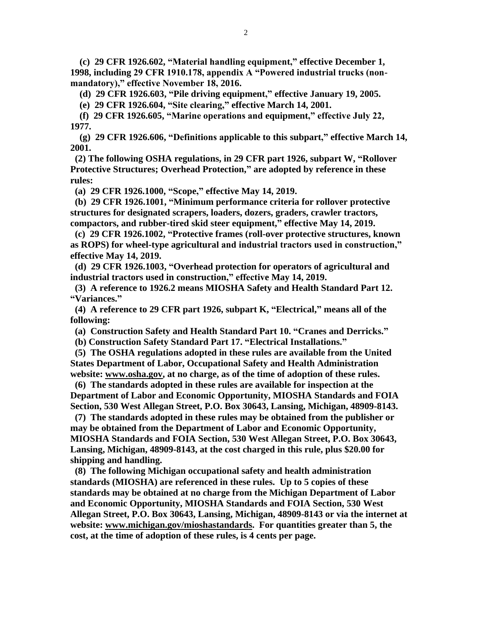**(c) 29 CFR 1926.602, "Material handling equipment," effective December 1, 1998, including 29 CFR 1910.178, appendix A "Powered industrial trucks (nonmandatory)," effective November 18, 2016.**

 **(d) 29 CFR 1926.603, "Pile driving equipment," effective January 19, 2005.**

 **(e) 29 CFR 1926.604, "Site clearing," effective March 14, 2001.**

 **(f) 29 CFR 1926.605, "Marine operations and equipment," effective July 22, 1977.**

**(g) 29 CFR 1926.606, "Definitions applicable to this subpart," effective March 14, 2001.** 

 **(2) The following OSHA regulations, in 29 CFR part 1926, subpart W, "Rollover Protective Structures; Overhead Protection," are adopted by reference in these rules:**

 **(a) 29 CFR 1926.1000, "Scope," effective May 14, 2019.**

 **(b) 29 CFR 1926.1001, "Minimum performance criteria for rollover protective structures for designated scrapers, loaders, dozers, graders, crawler tractors, compactors, and rubber-tired skid steer equipment," effective May 14, 2019.**

**(c) 29 CFR 1926.1002, "Protective frames (roll-over protective structures, known as ROPS) for wheel-type agricultural and industrial tractors used in construction," effective May 14, 2019.**

 **(d) 29 CFR 1926.1003, "Overhead protection for operators of agricultural and industrial tractors used in construction," effective May 14, 2019.**

**(3) A reference to 1926.2 means MIOSHA Safety and Health Standard Part 12. "Variances."**

**(4) A reference to 29 CFR part 1926, subpart K, "Electrical," means all of the following:**

 **(a) Construction Safety and Health Standard Part 10. "Cranes and Derricks."**

 **(b) Construction Safety Standard Part 17. "Electrical Installations."**

**(5) The OSHA regulations adopted in these rules are available from the United States Department of Labor, Occupational Safety and Health Administration website: www.osha.gov, at no charge, as of the time of adoption of these rules.**

 **(6) The standards adopted in these rules are available for inspection at the Department of Labor and Economic Opportunity, MIOSHA Standards and FOIA Section, 530 West Allegan Street, P.O. Box 30643, Lansing, Michigan, 48909-8143.**

 **(7) The standards adopted in these rules may be obtained from the publisher or may be obtained from the Department of Labor and Economic Opportunity, MIOSHA Standards and FOIA Section, 530 West Allegan Street, P.O. Box 30643, Lansing, Michigan, 48909-8143, at the cost charged in this rule, plus \$20.00 for shipping and handling.**

**(8) The following Michigan occupational safety and health administration standards (MIOSHA) are referenced in these rules. Up to 5 copies of these standards may be obtained at no charge from the Michigan Department of Labor and Economic Opportunity, MIOSHA Standards and FOIA Section, 530 West Allegan Street, P.O. Box 30643, Lansing, Michigan, 48909-8143 or via the internet at website: [www.michigan.gov/mioshastandards.](http://www.michigan.gov/mioshastandards) For quantities greater than 5, the cost, at the time of adoption of these rules, is 4 cents per page.**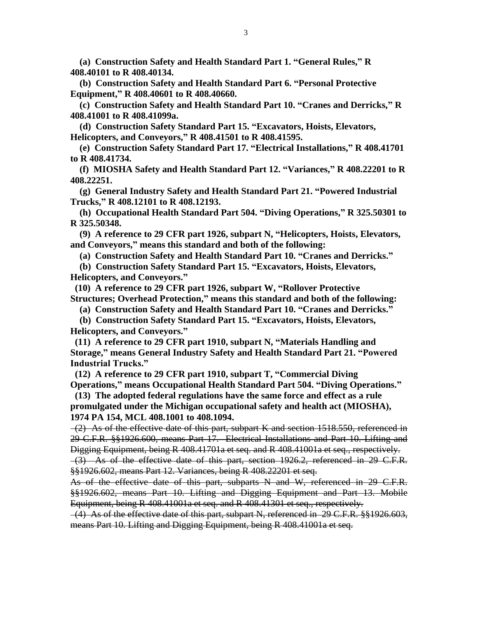**(a) Construction Safety and Health Standard Part 1. "General Rules," R 408.40101 to R 408.40134.**

 **(b) Construction Safety and Health Standard Part 6. "Personal Protective Equipment," R 408.40601 to R 408.40660.**

 **(c) Construction Safety and Health Standard Part 10. "Cranes and Derricks," R 408.41001 to R 408.41099a.**

 **(d) Construction Safety Standard Part 15. "Excavators, Hoists, Elevators, Helicopters, and Conveyors," R 408.41501 to R 408.41595.**

 **(e) Construction Safety Standard Part 17. "Electrical Installations," R 408.41701 to R 408.41734.**

 **(f) MIOSHA Safety and Health Standard Part 12. "Variances," R 408.22201 to R 408.22251.**

 **(g) General Industry Safety and Health Standard Part 21. "Powered Industrial Trucks," R 408.12101 to R 408.12193.**

 **(h) Occupational Health Standard Part 504. "Diving Operations," R 325.50301 to R 325.50348.**

 **(9) A reference to 29 CFR part 1926, subpart N, "Helicopters, Hoists, Elevators, and Conveyors," means this standard and both of the following:** 

 **(a) Construction Safety and Health Standard Part 10. "Cranes and Derricks."**

 **(b) Construction Safety Standard Part 15. "Excavators, Hoists, Elevators, Helicopters, and Conveyors."**

 **(10) A reference to 29 CFR part 1926, subpart W, "Rollover Protective Structures; Overhead Protection," means this standard and both of the following:**

 **(a) Construction Safety and Health Standard Part 10. "Cranes and Derricks."**

 **(b) Construction Safety Standard Part 15. "Excavators, Hoists, Elevators, Helicopters, and Conveyors."**

 **(11) A reference to 29 CFR part 1910, subpart N, "Materials Handling and Storage," means General Industry Safety and Health Standard Part 21. "Powered Industrial Trucks."**

 **(12) A reference to 29 CFR part 1910, subpart T, "Commercial Diving Operations," means Occupational Health Standard Part 504. "Diving Operations."**

**(13) The adopted federal regulations have the same force and effect as a rule promulgated under the Michigan occupational safety and health act (MIOSHA), 1974 PA 154, MCL 408.1001 to 408.1094.**

 (2) As of the effective date of this part, subpart K and section 1518.550, referenced in 29 C.F.R. §§1926.600, means Part 17. Electrical Installations and Part 10. Lifting and Digging Equipment, being R 408.41701a et seq. and R 408.41001a et seq., respectively. (3) As of the effective date of this part, section 1926.2, referenced in 29 C.F.R. §§1926.602, means Part 12. Variances, being R 408.22201 et seq.

As of the effective date of this part, subparts N and W, referenced in 29 C.F.R. §§1926.602, means Part 10. Lifting and Digging Equipment and Part 13. Mobile Equipment, being R 408.41001a et seq. and R 408.41301 et seq., respectively.

 (4) As of the effective date of this part, subpart N, referenced in 29 C.F.R. §§1926.603, means Part 10. Lifting and Digging Equipment, being R 408.41001a et seq.